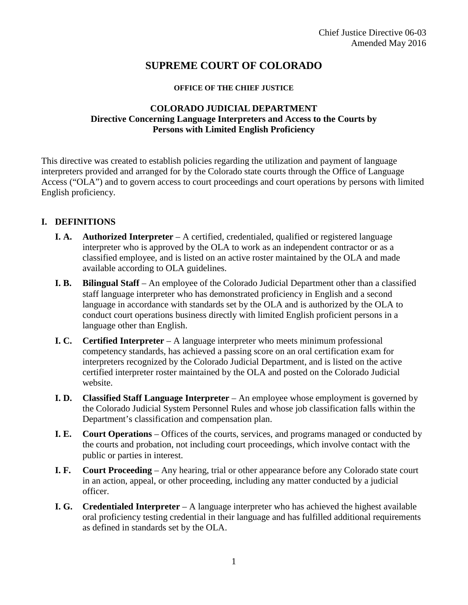# **SUPREME COURT OF COLORADO**

#### **OFFICE OF THE CHIEF JUSTICE**

#### **COLORADO JUDICIAL DEPARTMENT Directive Concerning Language Interpreters and Access to the Courts by Persons with Limited English Proficiency**

This directive was created to establish policies regarding the utilization and payment of language interpreters provided and arranged for by the Colorado state courts through the Office of Language Access ("OLA") and to govern access to court proceedings and court operations by persons with limited English proficiency.

## **I. DEFINITIONS**

- **I. A. Authorized Interpreter** A certified, credentialed, qualified or registered language interpreter who is approved by the OLA to work as an independent contractor or as a classified employee, and is listed on an active roster maintained by the OLA and made available according to OLA guidelines.
- **I. B. Bilingual Staff**  An employee of the Colorado Judicial Department other than a classified staff language interpreter who has demonstrated proficiency in English and a second language in accordance with standards set by the OLA and is authorized by the OLA to conduct court operations business directly with limited English proficient persons in a language other than English.
- **I. C. Certified Interpreter**  A language interpreter who meets minimum professional competency standards, has achieved a passing score on an oral certification exam for interpreters recognized by the Colorado Judicial Department, and is listed on the active certified interpreter roster maintained by the OLA and posted on the Colorado Judicial website.
- **I. D.** Classified Staff Language Interpreter An employee whose employment is governed by the Colorado Judicial System Personnel Rules and whose job classification falls within the Department's classification and compensation plan.
- **I. E. Court Operations**  Offices of the courts, services, and programs managed or conducted by the courts and probation, not including court proceedings, which involve contact with the public or parties in interest.
- **I. F. Court Proceeding**  Any hearing, trial or other appearance before any Colorado state court in an action, appeal, or other proceeding, including any matter conducted by a judicial officer.
- **I. G. Credentialed Interpreter** A language interpreter who has achieved the highest available oral proficiency testing credential in their language and has fulfilled additional requirements as defined in standards set by the OLA.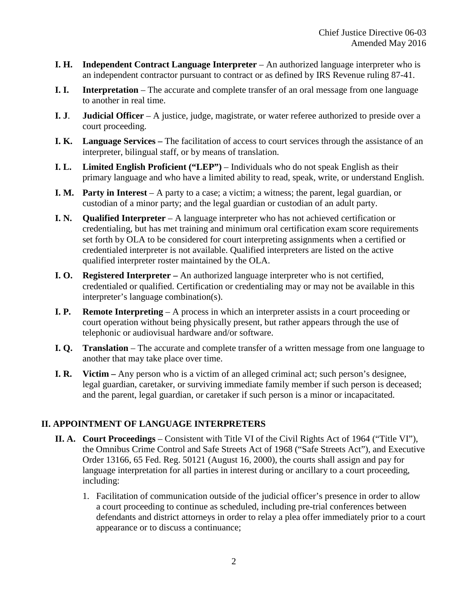- **I. H. Independent Contract Language Interpreter** An authorized language interpreter who is an independent contractor pursuant to contract or as defined by IRS Revenue ruling 87-41.
- **I. I. Interpretation** The accurate and complete transfer of an oral message from one language to another in real time.
- **I. J**. **Judicial Officer** A justice, judge, magistrate, or water referee authorized to preside over a court proceeding.
- **I. K. Language Services –** The facilitation of access to court services through the assistance of an interpreter, bilingual staff, or by means of translation.
- **I. L.** Limited English Proficient ("LEP") Individuals who do not speak English as their primary language and who have a limited ability to read, speak, write, or understand English.
- **I. M. Party in Interest** A party to a case; a victim; a witness; the parent, legal guardian, or custodian of a minor party; and the legal guardian or custodian of an adult party.
- **I. N. Qualified Interpreter**  A language interpreter who has not achieved certification or credentialing, but has met training and minimum oral certification exam score requirements set forth by OLA to be considered for court interpreting assignments when a certified or credentialed interpreter is not available. Qualified interpreters are listed on the active qualified interpreter roster maintained by the OLA.
- **I. O. Registered Interpreter –** An authorized language interpreter who is not certified, credentialed or qualified. Certification or credentialing may or may not be available in this interpreter's language combination(s).
- **I. P. Remote Interpreting** A process in which an interpreter assists in a court proceeding or court operation without being physically present, but rather appears through the use of telephonic or audiovisual hardware and/or software.
- **I. Q. Translation** The accurate and complete transfer of a written message from one language to another that may take place over time.
- **I. R. Victim –** Any person who is a victim of an alleged criminal act; such person's designee, legal guardian, caretaker, or surviving immediate family member if such person is deceased; and the parent, legal guardian, or caretaker if such person is a minor or incapacitated.

### **II. APPOINTMENT OF LANGUAGE INTERPRETERS**

- **II. A. Court Proceedings** Consistent with Title VI of the Civil Rights Act of 1964 ("Title VI"), the Omnibus Crime Control and Safe Streets Act of 1968 ("Safe Streets Act"), and Executive Order 13166, 65 Fed. Reg. 50121 (August 16, 2000), the courts shall assign and pay for language interpretation for all parties in interest during or ancillary to a court proceeding, including:
	- 1. Facilitation of communication outside of the judicial officer's presence in order to allow a court proceeding to continue as scheduled, including pre-trial conferences between defendants and district attorneys in order to relay a plea offer immediately prior to a court appearance or to discuss a continuance;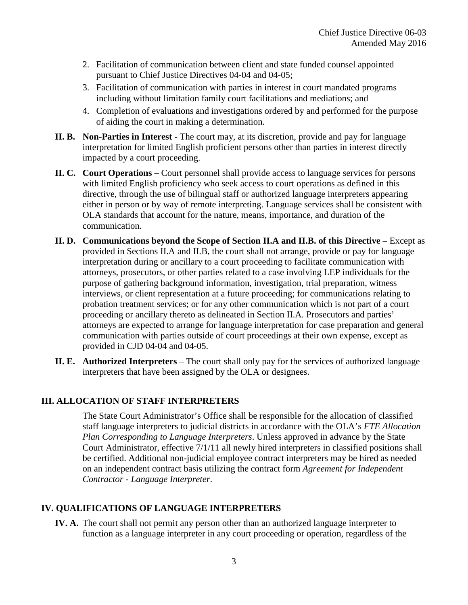- 2. Facilitation of communication between client and state funded counsel appointed pursuant to Chief Justice Directives 04-04 and 04-05;
- 3. Facilitation of communication with parties in interest in court mandated programs including without limitation family court facilitations and mediations; and
- 4. Completion of evaluations and investigations ordered by and performed for the purpose of aiding the court in making a determination.
- **II. B. Non-Parties in Interest -** The court may, at its discretion, provide and pay for language interpretation for limited English proficient persons other than parties in interest directly impacted by a court proceeding.
- **II. C. Court Operations –** Court personnel shall provide access to language services for persons with limited English proficiency who seek access to court operations as defined in this directive, through the use of bilingual staff or authorized language interpreters appearing either in person or by way of remote interpreting. Language services shall be consistent with OLA standards that account for the nature, means, importance, and duration of the communication.
- **II. D. Communications beyond the Scope of Section II.A and II.B. of this Directive** Except as provided in Sections II.A and II.B, the court shall not arrange, provide or pay for language interpretation during or ancillary to a court proceeding to facilitate communication with attorneys, prosecutors, or other parties related to a case involving LEP individuals for the purpose of gathering background information, investigation, trial preparation, witness interviews, or client representation at a future proceeding; for communications relating to probation treatment services; or for any other communication which is not part of a court proceeding or ancillary thereto as delineated in Section II.A. Prosecutors and parties' attorneys are expected to arrange for language interpretation for case preparation and general communication with parties outside of court proceedings at their own expense, except as provided in CJD 04-04 and 04-05.
- **II. E. Authorized Interpreters**  The court shall only pay for the services of authorized language interpreters that have been assigned by the OLA or designees.

### **III. ALLOCATION OF STAFF INTERPRETERS**

The State Court Administrator's Office shall be responsible for the allocation of classified staff language interpreters to judicial districts in accordance with the OLA's *FTE Allocation Plan Corresponding to Language Interpreters*. Unless approved in advance by the State Court Administrator, effective 7/1/11 all newly hired interpreters in classified positions shall be certified. Additional non-judicial employee contract interpreters may be hired as needed on an independent contract basis utilizing the contract form *Agreement for Independent Contractor - Language Interpreter*.

### **IV. QUALIFICATIONS OF LANGUAGE INTERPRETERS**

**IV. A.** The court shall not permit any person other than an authorized language interpreter to function as a language interpreter in any court proceeding or operation, regardless of the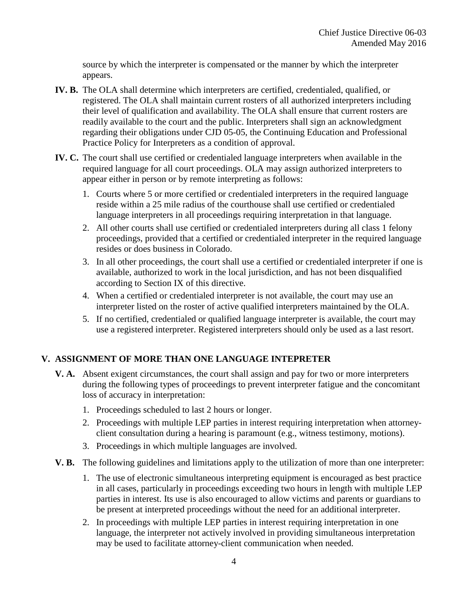source by which the interpreter is compensated or the manner by which the interpreter appears.

- **IV. B.** The OLA shall determine which interpreters are certified, credentialed, qualified, or registered. The OLA shall maintain current rosters of all authorized interpreters including their level of qualification and availability. The OLA shall ensure that current rosters are readily available to the court and the public. Interpreters shall sign an acknowledgment regarding their obligations under CJD 05-05, the Continuing Education and Professional Practice Policy for Interpreters as a condition of approval.
- **IV. C.** The court shall use certified or credentialed language interpreters when available in the required language for all court proceedings. OLA may assign authorized interpreters to appear either in person or by remote interpreting as follows:
	- 1. Courts where 5 or more certified or credentialed interpreters in the required language reside within a 25 mile radius of the courthouse shall use certified or credentialed language interpreters in all proceedings requiring interpretation in that language.
	- 2. All other courts shall use certified or credentialed interpreters during all class 1 felony proceedings, provided that a certified or credentialed interpreter in the required language resides or does business in Colorado.
	- 3. In all other proceedings, the court shall use a certified or credentialed interpreter if one is available, authorized to work in the local jurisdiction, and has not been disqualified according to Section IX of this directive.
	- 4. When a certified or credentialed interpreter is not available, the court may use an interpreter listed on the roster of active qualified interpreters maintained by the OLA.
	- 5. If no certified, credentialed or qualified language interpreter is available, the court may use a registered interpreter. Registered interpreters should only be used as a last resort.

## **V. ASSIGNMENT OF MORE THAN ONE LANGUAGE INTEPRETER**

- **V. A.** Absent exigent circumstances, the court shall assign and pay for two or more interpreters during the following types of proceedings to prevent interpreter fatigue and the concomitant loss of accuracy in interpretation:
	- 1. Proceedings scheduled to last 2 hours or longer.
	- 2. Proceedings with multiple LEP parties in interest requiring interpretation when attorneyclient consultation during a hearing is paramount (e.g., witness testimony, motions).
	- 3. Proceedings in which multiple languages are involved.
- **V. B.** The following guidelines and limitations apply to the utilization of more than one interpreter:
	- 1. The use of electronic simultaneous interpreting equipment is encouraged as best practice in all cases, particularly in proceedings exceeding two hours in length with multiple LEP parties in interest. Its use is also encouraged to allow victims and parents or guardians to be present at interpreted proceedings without the need for an additional interpreter.
	- 2. In proceedings with multiple LEP parties in interest requiring interpretation in one language, the interpreter not actively involved in providing simultaneous interpretation may be used to facilitate attorney-client communication when needed.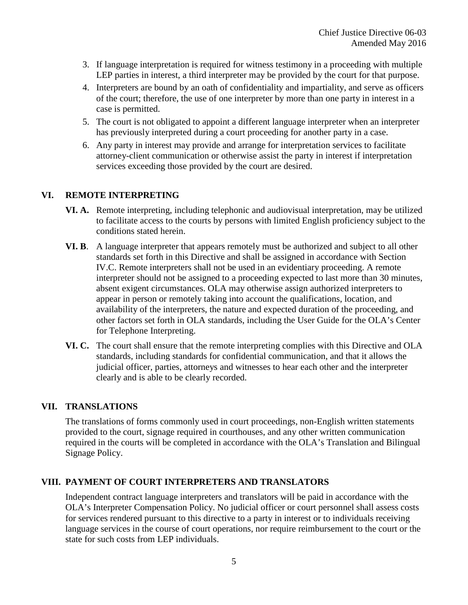- 3. If language interpretation is required for witness testimony in a proceeding with multiple LEP parties in interest, a third interpreter may be provided by the court for that purpose.
- 4. Interpreters are bound by an oath of confidentiality and impartiality, and serve as officers of the court; therefore, the use of one interpreter by more than one party in interest in a case is permitted.
- 5. The court is not obligated to appoint a different language interpreter when an interpreter has previously interpreted during a court proceeding for another party in a case.
- 6. Any party in interest may provide and arrange for interpretation services to facilitate attorney-client communication or otherwise assist the party in interest if interpretation services exceeding those provided by the court are desired.

### **VI. REMOTE INTERPRETING**

- **VI. A.** Remote interpreting, including telephonic and audiovisual interpretation, may be utilized to facilitate access to the courts by persons with limited English proficiency subject to the conditions stated herein.
- **VI. B**. A language interpreter that appears remotely must be authorized and subject to all other standards set forth in this Directive and shall be assigned in accordance with Section IV.C. Remote interpreters shall not be used in an evidentiary proceeding. A remote interpreter should not be assigned to a proceeding expected to last more than 30 minutes, absent exigent circumstances. OLA may otherwise assign authorized interpreters to appear in person or remotely taking into account the qualifications, location, and availability of the interpreters, the nature and expected duration of the proceeding, and other factors set forth in OLA standards, including the User Guide for the OLA's Center for Telephone Interpreting.
- **VI. C.** The court shall ensure that the remote interpreting complies with this Directive and OLA standards, including standards for confidential communication, and that it allows the judicial officer, parties, attorneys and witnesses to hear each other and the interpreter clearly and is able to be clearly recorded.

### **VII. TRANSLATIONS**

The translations of forms commonly used in court proceedings, non-English written statements provided to the court, signage required in courthouses, and any other written communication required in the courts will be completed in accordance with the OLA's Translation and Bilingual Signage Policy.

### **VIII. PAYMENT OF COURT INTERPRETERS AND TRANSLATORS**

Independent contract language interpreters and translators will be paid in accordance with the OLA's Interpreter Compensation Policy. No judicial officer or court personnel shall assess costs for services rendered pursuant to this directive to a party in interest or to individuals receiving language services in the course of court operations, nor require reimbursement to the court or the state for such costs from LEP individuals.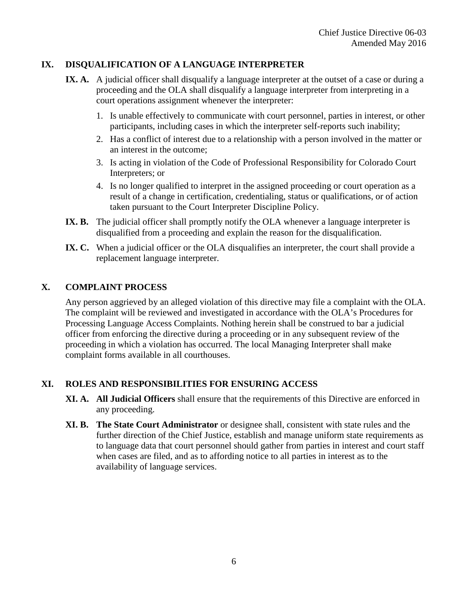## **IX. DISQUALIFICATION OF A LANGUAGE INTERPRETER**

- **IX. A.** A judicial officer shall disqualify a language interpreter at the outset of a case or during a proceeding and the OLA shall disqualify a language interpreter from interpreting in a court operations assignment whenever the interpreter:
	- 1. Is unable effectively to communicate with court personnel, parties in interest, or other participants, including cases in which the interpreter self-reports such inability;
	- 2. Has a conflict of interest due to a relationship with a person involved in the matter or an interest in the outcome;
	- 3. Is acting in violation of the Code of Professional Responsibility for Colorado Court Interpreters; or
	- 4. Is no longer qualified to interpret in the assigned proceeding or court operation as a result of a change in certification, credentialing, status or qualifications, or of action taken pursuant to the Court Interpreter Discipline Policy.
- **IX. B.** The judicial officer shall promptly notify the OLA whenever a language interpreter is disqualified from a proceeding and explain the reason for the disqualification.
- IX. C. When a judicial officer or the OLA disqualifies an interpreter, the court shall provide a replacement language interpreter.

### **X. COMPLAINT PROCESS**

Any person aggrieved by an alleged violation of this directive may file a complaint with the OLA. The complaint will be reviewed and investigated in accordance with the OLA's Procedures for Processing Language Access Complaints. Nothing herein shall be construed to bar a judicial officer from enforcing the directive during a proceeding or in any subsequent review of the proceeding in which a violation has occurred. The local Managing Interpreter shall make complaint forms available in all courthouses.

### **XI. ROLES AND RESPONSIBILITIES FOR ENSURING ACCESS**

- **XI. A. All Judicial Officers** shall ensure that the requirements of this Directive are enforced in any proceeding.
- **XI. B. The State Court Administrator** or designee shall, consistent with state rules and the further direction of the Chief Justice, establish and manage uniform state requirements as to language data that court personnel should gather from parties in interest and court staff when cases are filed, and as to affording notice to all parties in interest as to the availability of language services.